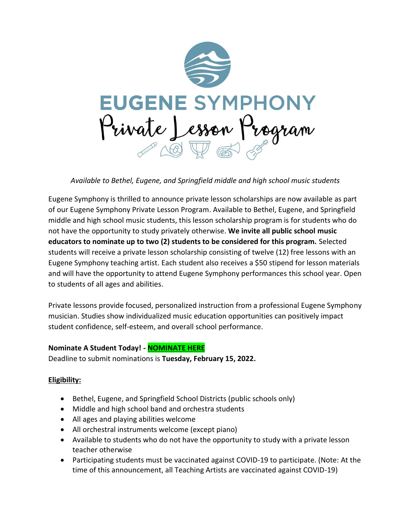

*Available to Bethel, Eugene, and Springfield middle and high school music students*

Eugene Symphony is thrilled to announce private lesson scholarships are now available as part of our Eugene Symphony Private Lesson Program. Available to Bethel, Eugene, and Springfield middle and high school music students, this lesson scholarship program is for students who do not have the opportunity to study privately otherwise. **We invite all public school music educators to nominate up to two (2) students to be considered for this program.** Selected students will receive a private lesson scholarship consisting of twelve (12) free lessons with an Eugene Symphony teaching artist. Each student also receives a \$50 stipend for lesson materials and will have the opportunity to attend Eugene Symphony performances this school year. Open to students of all ages and abilities.

Private lessons provide focused, personalized instruction from a professional Eugene Symphony musician. Studies show individualized music education opportunities can positively impact student confidence, self-esteem, and overall school performance.

#### **Nominate A Student Today! - [NOMINATE HERE](https://www.surveymonkey.com/r/PY3729W)**

Deadline to submit nominations is **Tuesday, February 15, 2022.** 

# **Eligibility:**

- Bethel, Eugene, and Springfield School Districts (public schools only)
- Middle and high school band and orchestra students
- All ages and playing abilities welcome
- All orchestral instruments welcome (except piano)
- Available to students who do not have the opportunity to study with a private lesson teacher otherwise
- Participating students must be vaccinated against COVID-19 to participate. (Note: At the time of this announcement, all Teaching Artists are vaccinated against COVID-19)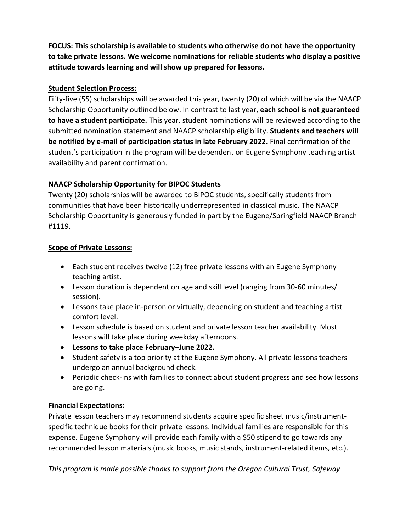**FOCUS: This scholarship is available to students who otherwise do not have the opportunity to take private lessons. We welcome nominations for reliable students who display a positive attitude towards learning and will show up prepared for lessons.**

### **Student Selection Process:**

Fifty-five (55) scholarships will be awarded this year, twenty (20) of which will be via the NAACP Scholarship Opportunity outlined below. In contrast to last year, **each school is not guaranteed to have a student participate.** This year, student nominations will be reviewed according to the submitted nomination statement and NAACP scholarship eligibility. **Students and teachers will be notified by e-mail of participation status in late February 2022.** Final confirmation of the student's participation in the program will be dependent on Eugene Symphony teaching artist availability and parent confirmation.

# **NAACP Scholarship Opportunity for BIPOC Students**

Twenty (20) scholarships will be awarded to BIPOC students, specifically students from communities that have been historically underrepresented in classical music. The NAACP Scholarship Opportunity is generously funded in part by the Eugene/Springfield NAACP Branch #1119.

#### **Scope of Private Lessons:**

- Each student receives twelve (12) free private lessons with an Eugene Symphony teaching artist.
- Lesson duration is dependent on age and skill level (ranging from 30-60 minutes/ session).
- Lessons take place in-person or virtually, depending on student and teaching artist comfort level.
- Lesson schedule is based on student and private lesson teacher availability. Most lessons will take place during weekday afternoons.
- **Lessons to take place February–June 2022.**
- Student safety is a top priority at the Eugene Symphony. All private lessons teachers undergo an annual background check.
- Periodic check-ins with families to connect about student progress and see how lessons are going.

# **Financial Expectations:**

Private lesson teachers may recommend students acquire specific sheet music/instrumentspecific technique books for their private lessons. Individual families are responsible for this expense. Eugene Symphony will provide each family with a \$50 stipend to go towards any recommended lesson materials (music books, music stands, instrument-related items, etc.).

*This program is made possible thanks to support from the Oregon Cultural Trust, Safeway*